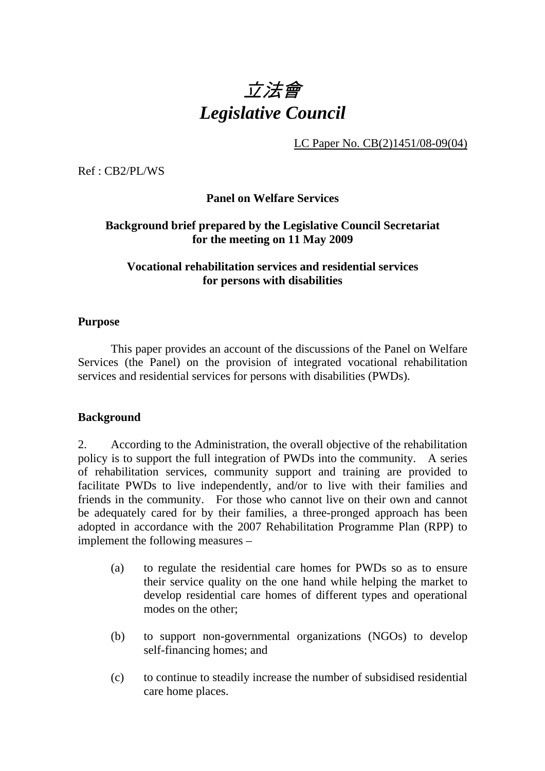

LC Paper No. CB(2)1451/08-09(04)

Ref : CB2/PL/WS

**Panel on Welfare Services** 

### **Background brief prepared by the Legislative Council Secretariat for the meeting on 11 May 2009**

# **Vocational rehabilitation services and residential services for persons with disabilities**

#### **Purpose**

This paper provides an account of the discussions of the Panel on Welfare Services (the Panel) on the provision of integrated vocational rehabilitation services and residential services for persons with disabilities (PWDs).

#### **Background**

2. According to the Administration, the overall objective of the rehabilitation policy is to support the full integration of PWDs into the community. A series of rehabilitation services, community support and training are provided to facilitate PWDs to live independently, and/or to live with their families and friends in the community. For those who cannot live on their own and cannot be adequately cared for by their families, a three-pronged approach has been adopted in accordance with the 2007 Rehabilitation Programme Plan (RPP) to implement the following measures –

- (a) to regulate the residential care homes for PWDs so as to ensure their service quality on the one hand while helping the market to develop residential care homes of different types and operational modes on the other;
- (b) to support non-governmental organizations (NGOs) to develop self-financing homes; and
- (c) to continue to steadily increase the number of subsidised residential care home places.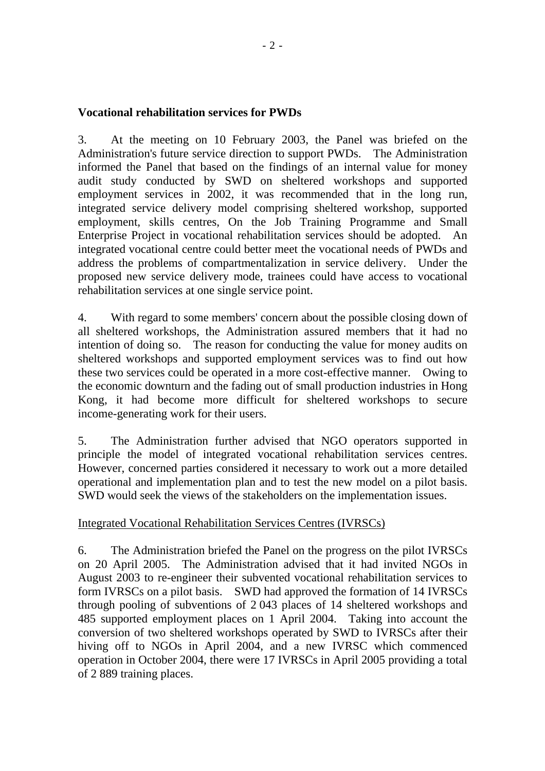### **Vocational rehabilitation services for PWDs**

3. At the meeting on 10 February 2003, the Panel was briefed on the Administration's future service direction to support PWDs. The Administration informed the Panel that based on the findings of an internal value for money audit study conducted by SWD on sheltered workshops and supported employment services in 2002, it was recommended that in the long run, integrated service delivery model comprising sheltered workshop, supported employment, skills centres, On the Job Training Programme and Small Enterprise Project in vocational rehabilitation services should be adopted. An integrated vocational centre could better meet the vocational needs of PWDs and address the problems of compartmentalization in service delivery. Under the proposed new service delivery mode, trainees could have access to vocational rehabilitation services at one single service point.

4. With regard to some members' concern about the possible closing down of all sheltered workshops, the Administration assured members that it had no intention of doing so. The reason for conducting the value for money audits on sheltered workshops and supported employment services was to find out how these two services could be operated in a more cost-effective manner. Owing to the economic downturn and the fading out of small production industries in Hong Kong, it had become more difficult for sheltered workshops to secure income-generating work for their users.

5. The Administration further advised that NGO operators supported in principle the model of integrated vocational rehabilitation services centres. However, concerned parties considered it necessary to work out a more detailed operational and implementation plan and to test the new model on a pilot basis. SWD would seek the views of the stakeholders on the implementation issues.

# Integrated Vocational Rehabilitation Services Centres (IVRSCs)

6. The Administration briefed the Panel on the progress on the pilot IVRSCs on 20 April 2005. The Administration advised that it had invited NGOs in August 2003 to re-engineer their subvented vocational rehabilitation services to form IVRSCs on a pilot basis. SWD had approved the formation of 14 IVRSCs through pooling of subventions of 2,043 places of 14 sheltered workshops and 485 supported employment places on 1 April 2004. Taking into account the conversion of two sheltered workshops operated by SWD to IVRSCs after their hiving off to NGOs in April 2004, and a new IVRSC which commenced operation in October 2004, there were 17 IVRSCs in April 2005 providing a total of 2.889 training places.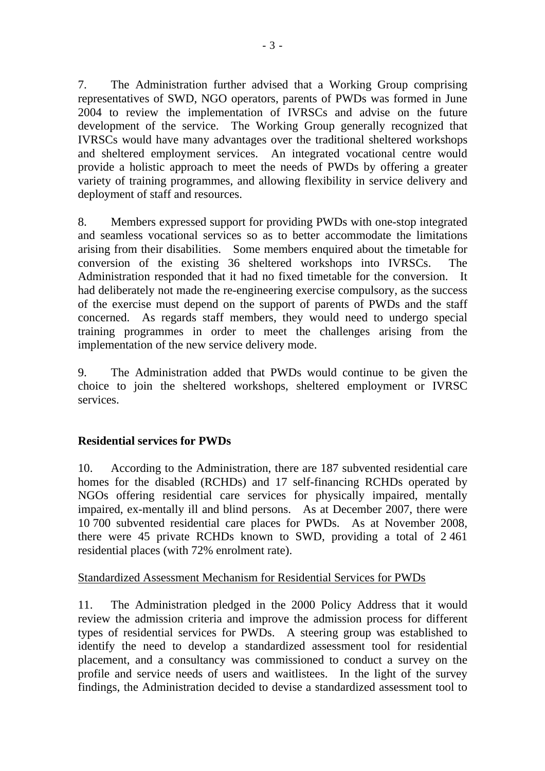7. The Administration further advised that a Working Group comprising representatives of SWD, NGO operators, parents of PWDs was formed in June 2004 to review the implementation of IVRSCs and advise on the future development of the service. The Working Group generally recognized that IVRSCs would have many advantages over the traditional sheltered workshops and sheltered employment services. An integrated vocational centre would provide a holistic approach to meet the needs of PWDs by offering a greater variety of training programmes, and allowing flexibility in service delivery and deployment of staff and resources.

8. Members expressed support for providing PWDs with one-stop integrated and seamless vocational services so as to better accommodate the limitations arising from their disabilities. Some members enquired about the timetable for conversion of the existing 36 sheltered workshops into IVRSCs. The Administration responded that it had no fixed timetable for the conversion. It had deliberately not made the re-engineering exercise compulsory, as the success of the exercise must depend on the support of parents of PWDs and the staff concerned. As regards staff members, they would need to undergo special training programmes in order to meet the challenges arising from the implementation of the new service delivery mode.

9. The Administration added that PWDs would continue to be given the choice to join the sheltered workshops, sheltered employment or IVRSC services.

# **Residential services for PWDs**

10. According to the Administration, there are 187 subvented residential care homes for the disabled (RCHDs) and 17 self-financing RCHDs operated by NGOs offering residential care services for physically impaired, mentally impaired, ex-mentally ill and blind persons. As at December 2007, there were 10,700 subvented residential care places for PWDs. As at November 2008, there were 45 private RCHDs known to SWD, providing a total of 2,461 residential places (with 72% enrolment rate).

# Standardized Assessment Mechanism for Residential Services for PWDs

11. The Administration pledged in the 2000 Policy Address that it would review the admission criteria and improve the admission process for different types of residential services for PWDs. A steering group was established to identify the need to develop a standardized assessment tool for residential placement, and a consultancy was commissioned to conduct a survey on the profile and service needs of users and waitlistees. In the light of the survey findings, the Administration decided to devise a standardized assessment tool to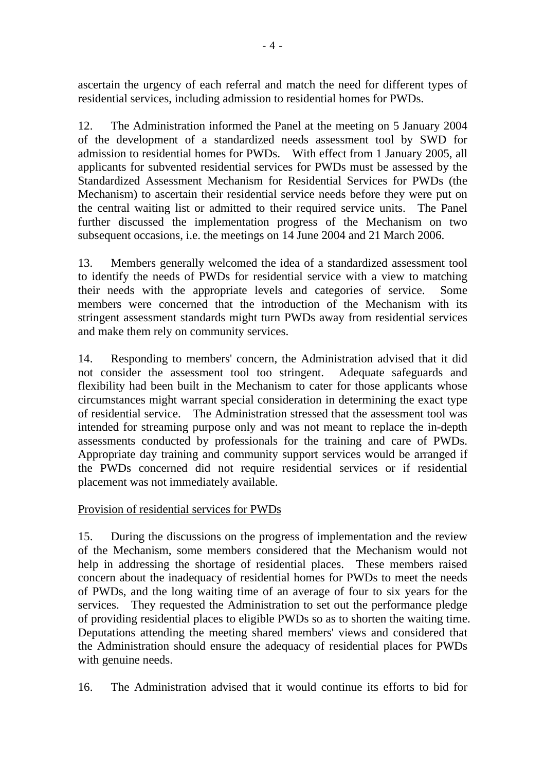ascertain the urgency of each referral and match the need for different types of residential services, including admission to residential homes for PWDs.

12. The Administration informed the Panel at the meeting on 5 January 2004 of the development of a standardized needs assessment tool by SWD for admission to residential homes for PWDs. With effect from 1 January 2005, all applicants for subvented residential services for PWDs must be assessed by the Standardized Assessment Mechanism for Residential Services for PWDs (the Mechanism) to ascertain their residential service needs before they were put on the central waiting list or admitted to their required service units. The Panel further discussed the implementation progress of the Mechanism on two subsequent occasions, i.e. the meetings on 14 June 2004 and 21 March 2006.

13. Members generally welcomed the idea of a standardized assessment tool to identify the needs of PWDs for residential service with a view to matching their needs with the appropriate levels and categories of service. Some members were concerned that the introduction of the Mechanism with its stringent assessment standards might turn PWDs away from residential services and make them rely on community services.

14. Responding to members' concern, the Administration advised that it did not consider the assessment tool too stringent. Adequate safeguards and flexibility had been built in the Mechanism to cater for those applicants whose circumstances might warrant special consideration in determining the exact type of residential service. The Administration stressed that the assessment tool was intended for streaming purpose only and was not meant to replace the in-depth assessments conducted by professionals for the training and care of PWDs. Appropriate day training and community support services would be arranged if the PWDs concerned did not require residential services or if residential placement was not immediately available.

# Provision of residential services for PWDs

15. During the discussions on the progress of implementation and the review of the Mechanism, some members considered that the Mechanism would not help in addressing the shortage of residential places. These members raised concern about the inadequacy of residential homes for PWDs to meet the needs of PWDs, and the long waiting time of an average of four to six years for the services. They requested the Administration to set out the performance pledge of providing residential places to eligible PWDs so as to shorten the waiting time. Deputations attending the meeting shared members' views and considered that the Administration should ensure the adequacy of residential places for PWDs with genuine needs.

16. The Administration advised that it would continue its efforts to bid for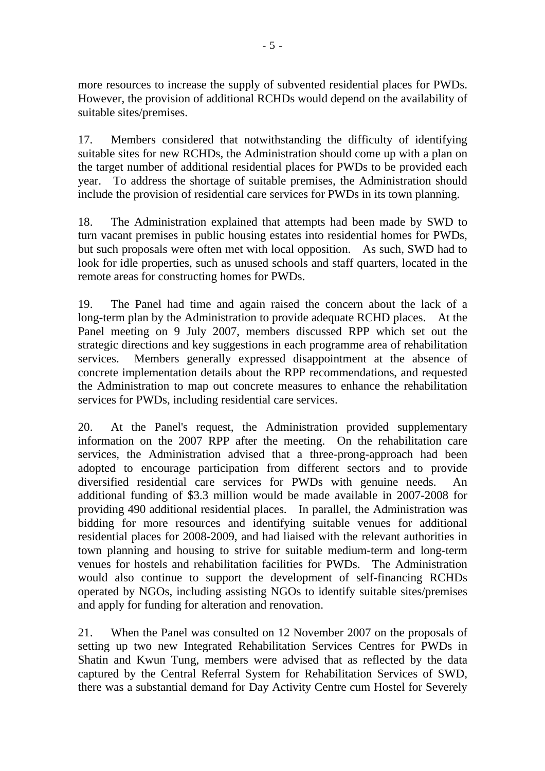more resources to increase the supply of subvented residential places for PWDs. However, the provision of additional RCHDs would depend on the availability of suitable sites/premises.

17. Members considered that notwithstanding the difficulty of identifying suitable sites for new RCHDs, the Administration should come up with a plan on the target number of additional residential places for PWDs to be provided each year. To address the shortage of suitable premises, the Administration should include the provision of residential care services for PWDs in its town planning.

18. The Administration explained that attempts had been made by SWD to turn vacant premises in public housing estates into residential homes for PWDs, but such proposals were often met with local opposition. As such, SWD had to look for idle properties, such as unused schools and staff quarters, located in the remote areas for constructing homes for PWDs.

19. The Panel had time and again raised the concern about the lack of a long-term plan by the Administration to provide adequate RCHD places. At the Panel meeting on 9 July 2007, members discussed RPP which set out the strategic directions and key suggestions in each programme area of rehabilitation services. Members generally expressed disappointment at the absence of concrete implementation details about the RPP recommendations, and requested the Administration to map out concrete measures to enhance the rehabilitation services for PWDs, including residential care services.

20. At the Panel's request, the Administration provided supplementary information on the 2007 RPP after the meeting. On the rehabilitation care services, the Administration advised that a three-prong-approach had been adopted to encourage participation from different sectors and to provide diversified residential care services for PWDs with genuine needs. An additional funding of \$3.3 million would be made available in 2007-2008 for providing 490 additional residential places. In parallel, the Administration was bidding for more resources and identifying suitable venues for additional residential places for 2008-2009, and had liaised with the relevant authorities in town planning and housing to strive for suitable medium-term and long-term venues for hostels and rehabilitation facilities for PWDs. The Administration would also continue to support the development of self-financing RCHDs operated by NGOs, including assisting NGOs to identify suitable sites/premises and apply for funding for alteration and renovation.

21. When the Panel was consulted on 12 November 2007 on the proposals of setting up two new Integrated Rehabilitation Services Centres for PWDs in Shatin and Kwun Tung, members were advised that as reflected by the data captured by the Central Referral System for Rehabilitation Services of SWD, there was a substantial demand for Day Activity Centre cum Hostel for Severely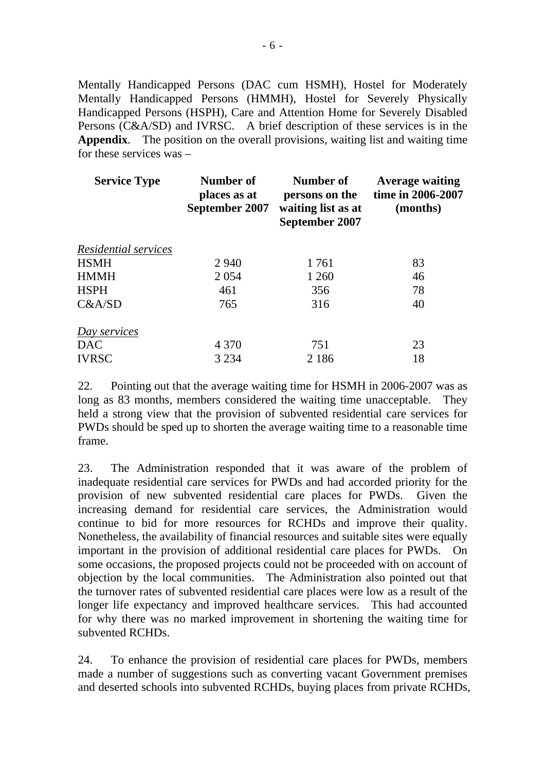Mentally Handicapped Persons (DAC cum HSMH), Hostel for Moderately Mentally Handicapped Persons (HMMH), Hostel for Severely Physically Handicapped Persons (HSPH), Care and Attention Home for Severely Disabled Persons (C&A/SD) and IVRSC. A brief description of these services is in the **Appendix**. The position on the overall provisions, waiting list and waiting time for these services was –

| <b>Service Type</b>  | Number of<br>places as at<br>September 2007 | Number of<br>persons on the<br>waiting list as at<br>September 2007 | <b>Average waiting</b><br>time in 2006-2007<br>(months) |
|----------------------|---------------------------------------------|---------------------------------------------------------------------|---------------------------------------------------------|
| Residential services |                                             |                                                                     |                                                         |
| <b>HSMH</b>          | 2 9 4 0                                     | 1761                                                                | 83                                                      |
| <b>HMMH</b>          | 2 0 5 4                                     | 1 260                                                               | 46                                                      |
| <b>HSPH</b>          | 461                                         | 356                                                                 | 78                                                      |
| C&A/SD               | 765                                         | 316                                                                 | 40                                                      |
| Day services         |                                             |                                                                     |                                                         |
| <b>DAC</b>           | 4 3 7 0                                     | 751                                                                 | 23                                                      |
| <b>IVRSC</b>         | 3 2 3 4                                     | 2 1 8 6                                                             | 18                                                      |

22. Pointing out that the average waiting time for HSMH in 2006-2007 was as long as 83 months, members considered the waiting time unacceptable. They held a strong view that the provision of subvented residential care services for PWDs should be sped up to shorten the average waiting time to a reasonable time frame.

23. The Administration responded that it was aware of the problem of inadequate residential care services for PWDs and had accorded priority for the provision of new subvented residential care places for PWDs. Given the increasing demand for residential care services, the Administration would continue to bid for more resources for RCHDs and improve their quality. Nonetheless, the availability of financial resources and suitable sites were equally important in the provision of additional residential care places for PWDs. On some occasions, the proposed projects could not be proceeded with on account of objection by the local communities. The Administration also pointed out that the turnover rates of subvented residential care places were low as a result of the longer life expectancy and improved healthcare services. This had accounted for why there was no marked improvement in shortening the waiting time for subvented RCHDs.

24. To enhance the provision of residential care places for PWDs, members made a number of suggestions such as converting vacant Government premises and deserted schools into subvented RCHDs, buying places from private RCHDs,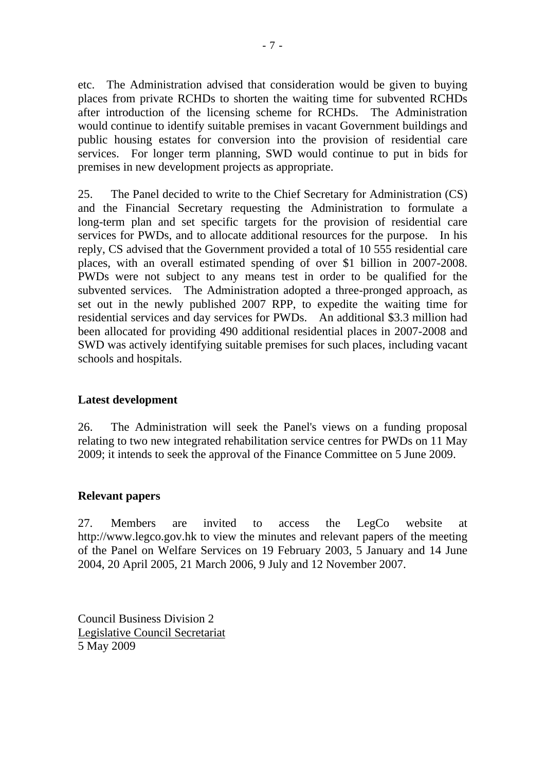etc. The Administration advised that consideration would be given to buying places from private RCHDs to shorten the waiting time for subvented RCHDs after introduction of the licensing scheme for RCHDs. The Administration would continue to identify suitable premises in vacant Government buildings and public housing estates for conversion into the provision of residential care services. For longer term planning, SWD would continue to put in bids for premises in new development projects as appropriate.

25. The Panel decided to write to the Chief Secretary for Administration (CS) and the Financial Secretary requesting the Administration to formulate a long-term plan and set specific targets for the provision of residential care services for PWDs, and to allocate additional resources for the purpose. In his reply, CS advised that the Government provided a total of 10.555 residential care places, with an overall estimated spending of over \$1 billion in 2007-2008. PWDs were not subject to any means test in order to be qualified for the subvented services. The Administration adopted a three-pronged approach, as set out in the newly published 2007 RPP, to expedite the waiting time for residential services and day services for PWDs. An additional \$3.3 million had been allocated for providing 490 additional residential places in 2007-2008 and SWD was actively identifying suitable premises for such places, including vacant schools and hospitals.

# **Latest development**

26. The Administration will seek the Panel's views on a funding proposal relating to two new integrated rehabilitation service centres for PWDs on 11 May 2009; it intends to seek the approval of the Finance Committee on 5 June 2009.

# **Relevant papers**

27. Members are invited to access the LegCo website at http://www.legco.gov.hk to view the minutes and relevant papers of the meeting of the Panel on Welfare Services on 19 February 2003, 5 January and 14 June 2004, 20 April 2005, 21 March 2006, 9 July and 12 November 2007.

Council Business Division 2 Legislative Council Secretariat 5 May 2009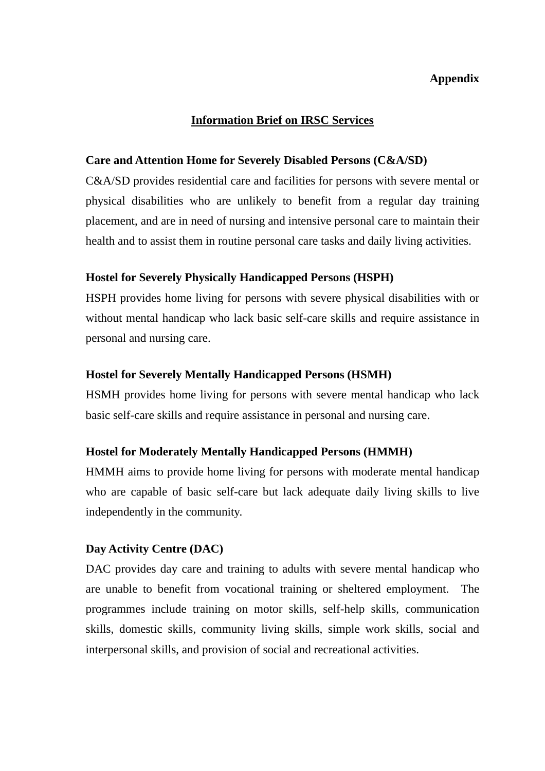# **Appendix**

#### **Information Brief on IRSC Services**

#### **Care and Attention Home for Severely Disabled Persons (C&A/SD)**

C&A/SD provides residential care and facilities for persons with severe mental or physical disabilities who are unlikely to benefit from a regular day training placement, and are in need of nursing and intensive personal care to maintain their health and to assist them in routine personal care tasks and daily living activities.

### **Hostel for Severely Physically Handicapped Persons (HSPH)**

HSPH provides home living for persons with severe physical disabilities with or without mental handicap who lack basic self-care skills and require assistance in personal and nursing care.

#### **Hostel for Severely Mentally Handicapped Persons (HSMH)**

HSMH provides home living for persons with severe mental handicap who lack basic self-care skills and require assistance in personal and nursing care.

#### **Hostel for Moderately Mentally Handicapped Persons (HMMH)**

HMMH aims to provide home living for persons with moderate mental handicap who are capable of basic self-care but lack adequate daily living skills to live independently in the community.

#### **Day Activity Centre (DAC)**

DAC provides day care and training to adults with severe mental handicap who are unable to benefit from vocational training or sheltered employment. The programmes include training on motor skills, self-help skills, communication skills, domestic skills, community living skills, simple work skills, social and interpersonal skills, and provision of social and recreational activities.